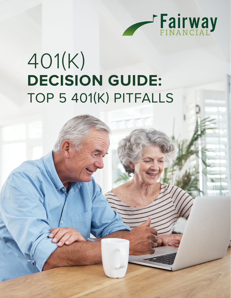

# 401(K) **DECISION GUIDE:**  TOP 5 401(K) PITFALLS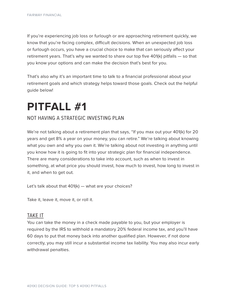If you're experiencing job loss or furlough or are approaching retirement quickly, we know that you're facing complex, difficult decisions. When an unexpected job loss or furlough occurs, you have a crucial choice to make that can seriously affect your retirement years. That's why we wanted to share our top five 401(k) pitfalls — so that you know your options and can make the decision that's best for you.

That's also why it's an important time to talk to a financial professional about your retirement goals and which strategy helps toward those goals. Check out the helpful guide below!

### **PITFALL #1**

#### NOT HAVING A STRATEGIC INVESTING PLAN

We're not talking about a retirement plan that says, "If you max out your 401(k) for 20 years and get 8% a year on your money, you can retire." We're talking about knowing what you own and why you own it. We're talking about not investing in anything until you know how it is going to fit into your strategic plan for financial independence. There are many considerations to take into account, such as when to invest in something, at what price you should invest, how much to invest, how long to invest in it, and when to get out.

Let's talk about that 401(k) — what are your choices?

Take it, leave it, move it, or roll it.

#### TAKE IT

You can take the money in a check made payable to you, but your employer is required by the IRS to withhold a mandatory 20% federal income tax, and you'll have 60 days to put that money back into another qualified plan. However, if not done correctly, you may still incur a substantial income tax liability. You may also incur early withdrawal penalties.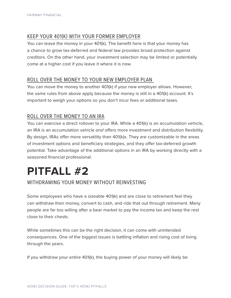### KEEP YOUR 401(K) WITH YOUR FORMER EMPLOYER

You can leave the money in your 401(k). The benefit here is that your money has a chance to grow tax-deferred and federal law provides broad protection against creditors. On the other hand, your investment selection may be limited or potentially come at a higher cost if you leave it where it is now.

#### ROLL OVER THE MONEY TO YOUR NEW EMPLOYER PLAN

You can move the money to another 401(k) if your new employer allows. However, the same rules from above apply because the money is still in a 401(k) account. It's important to weigh your options so you don't incur fees or additional taxes.

### ROLL OVER THE MONEY TO AN IRA

You can exercise a direct rollover to your IRA. While a 401(k) is an accumulation vehicle, an IRA is an accumulation vehicle and offers more investment and distribution flexibility. By design, IRAs offer more versatility than 401(k)s. They are customizable in the areas of investment options and beneficiary strategies, and they offer tax-deferred growth potential. Take advantage of the additional options in an IRA by working directly with a seasoned financial professional.

### **PITFALL #2**

### WITHDRAWING YOUR MONEY WITHOUT REINVESTING

Some employees who have a sizeable 401(k) and are close to retirement feel they can withdraw their money, convert to cash, and ride that out through retirement. Many people are far too willing after a bear market to pay the income tax and keep the rest close to their chests.

While sometimes this can be the right decision, it can come with unintended consequences. One of the biggest issues is battling inflation and rising cost of living through the years.

If you withdraw your entire 401(k), the buying power of your money will likely be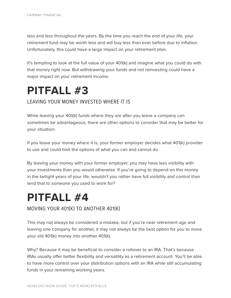less and less throughout the years. By the time you reach the end of your life, your retirement fund may be worth less and will buy less than ever before due to inflation. Unfortunately, this could have a large impact on your retirement plan.

It's tempting to look at the full value of your 401(k) and imagine what you could do with that money right now. But withdrawing your funds and not reinvesting could have a major impact on your retirement income.

## **PITFALL #3**

### LEAVING YOUR MONEY INVESTED WHERE IT IS

While leaving your 401(k) funds where they are after you leave a company can sometimes be advantageous, there are other options to consider that may be better for your situation.

If you leave your money where it is, your former employer decides what 401(k) provider to use and could limit the options of what you can and cannot do.

By leaving your money with your former employer, you may have less visibility with your investments than you would otherwise. If you're going to depend on this money in the twilight years of your life, wouldn't you rather have full visibility and control than lend that to someone you used to work for?

### **PITFALL #4**

MOVING YOUR 401(K) TO ANOTHER 401(K)

This may not always be considered a mistake, but if you're near retirement age and leaving one company for another, it may not always be the best option for you to move your old 401(k) money into another 401(k).

Why? Because it may be beneficial to consider a rollover to an IRA. That's because IRAs usually offer better flexibility and versatility as a retirement account. You'll be able to have more control over your distribution options with an IRA while still accumulating funds in your remaining working years.